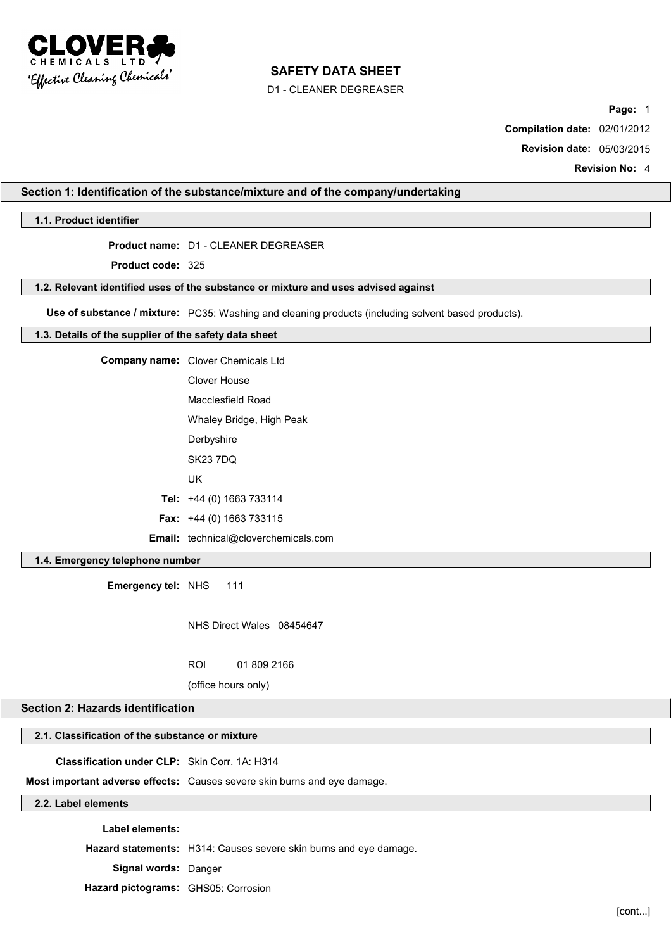

D1 - CLEANER DEGREASER

**Page:** 1

**Compilation date:** 02/01/2012

**Revision date:** 05/03/2015

**Revision No:** 4

#### **Section 1: Identification of the substance/mixture and of the company/undertaking**

## **1.1. Product identifier**

# **Product name:** D1 - CLEANER DEGREASER

**Product code:** 325

#### **1.2. Relevant identified uses of the substance or mixture and uses advised against**

**Use of substance / mixture:** PC35: Washing and cleaning products (including solvent based products).

#### **1.3. Details of the supplier of the safety data sheet**

| <b>Company name:</b> Clover Chemicals Ltd   |
|---------------------------------------------|
| Clover House                                |
| Macclesfield Road                           |
| Whaley Bridge, High Peak                    |
| Derbyshire                                  |
| <b>SK23 7DQ</b>                             |
| UK                                          |
| Tel: $+44$ (0) 1663 733114                  |
| <b>Fax:</b> $+44$ (0) 1663 733115           |
| <b>Email:</b> technical@cloverchemicals.com |

## **1.4. Emergency telephone number**

**Emergency tel:** NHS 111

NHS Direct Wales 08454647

ROI 01 809 2166

(office hours only)

## **Section 2: Hazards identification**

# **2.1. Classification of the substance or mixture**

**Classification under CLP:** Skin Corr. 1A: H314

**Most important adverse effects:** Causes severe skin burns and eye damage.

## **2.2. Label elements**

**Label elements:**

**Hazard statements:** H314: Causes severe skin burns and eye damage.

**Signal words:** Danger

**Hazard pictograms:** GHS05: Corrosion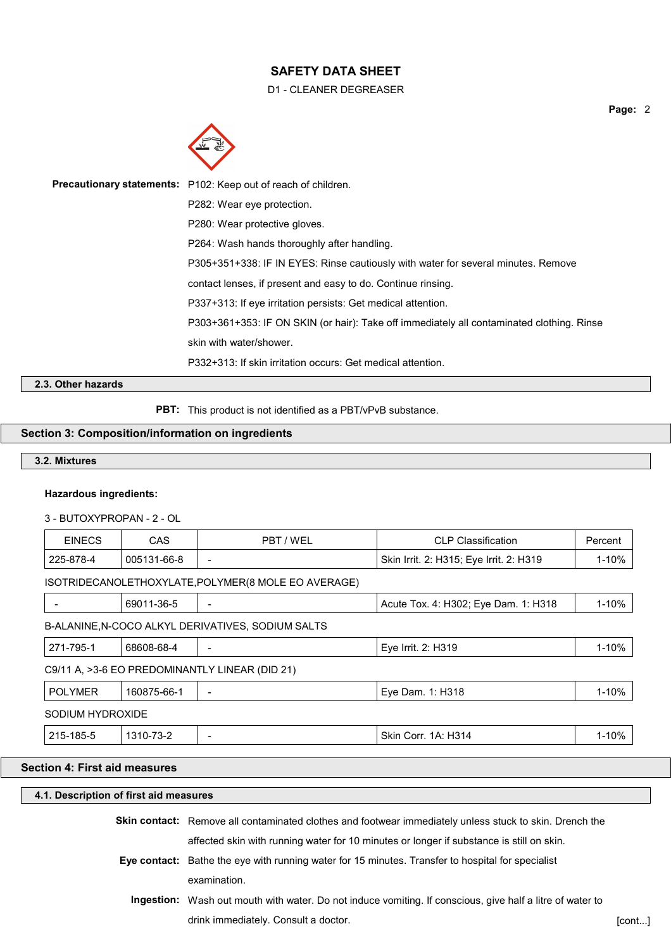D1 - CLEANER DEGREASER



| Precautionary statements: P102: Keep out of reach of children.                            |
|-------------------------------------------------------------------------------------------|
| P282: Wear eye protection.                                                                |
| P280: Wear protective gloves.                                                             |
| P264: Wash hands thoroughly after handling.                                               |
| P305+351+338: IF IN EYES: Rinse cautiously with water for several minutes. Remove         |
| contact lenses, if present and easy to do. Continue rinsing.                              |
| P337+313: If eye irritation persists: Get medical attention.                              |
| P303+361+353: IF ON SKIN (or hair): Take off immediately all contaminated clothing. Rinse |
| skin with water/shower.                                                                   |
| P332+313: If skin irritation occurs: Get medical attention.                               |

# **2.3. Other hazards**

**PBT:** This product is not identified as a PBT/vPvB substance.

# **Section 3: Composition/information on ingredients**

## **3.2. Mixtures**

## **Hazardous ingredients:**

3 - BUTOXYPROPAN - 2 - OL

| <b>EINECS</b>    | <b>CAS</b>  | PBT / WEL                                           | <b>CLP Classification</b>               | Percent   |
|------------------|-------------|-----------------------------------------------------|-----------------------------------------|-----------|
| 225-878-4        | 005131-66-8 | $\qquad \qquad$                                     | Skin Irrit. 2: H315; Eye Irrit. 2: H319 | $1 - 10%$ |
|                  |             | ISOTRIDECANOLETHOXYLATE, POLYMER(8 MOLE EO AVERAGE) |                                         |           |
|                  | 69011-36-5  |                                                     | Acute Tox. 4: H302; Eye Dam. 1: H318    | $1 - 10%$ |
|                  |             | B-ALANINE, N-COCO ALKYL DERIVATIVES, SODIUM SALTS   |                                         |           |
| 271-795-1        | 68608-68-4  |                                                     | Eye Irrit. 2: H319                      | $1 - 10%$ |
|                  |             | C9/11 A, >3-6 EO PREDOMINANTLY LINEAR (DID 21)      |                                         |           |
| <b>POLYMER</b>   | 160875-66-1 | $\overline{\phantom{0}}$                            | Eye Dam. 1: H318                        | $1 - 10%$ |
| SODIUM HYDROXIDE |             |                                                     |                                         |           |
| 215-185-5        | 1310-73-2   | $\overline{\phantom{0}}$                            | Skin Corr. 1A: H314                     | $1 - 10%$ |
|                  |             |                                                     |                                         |           |

# **Section 4: First aid measures**

| 4.1. Description of first aid measures |                                                                                                                |       |  |  |
|----------------------------------------|----------------------------------------------------------------------------------------------------------------|-------|--|--|
|                                        | <b>Skin contact:</b> Remove all contaminated clothes and footwear immediately unless stuck to skin. Drench the |       |  |  |
|                                        | affected skin with running water for 10 minutes or longer if substance is still on skin.                       |       |  |  |
|                                        | Eye contact: Bathe the eye with running water for 15 minutes. Transfer to hospital for specialist              |       |  |  |
|                                        | examination.                                                                                                   |       |  |  |
|                                        | Ingestion: Wash out mouth with water. Do not induce vomiting. If conscious, give half a litre of water to      |       |  |  |
|                                        | drink immediately. Consult a doctor.                                                                           | [cont |  |  |

**Page:** 2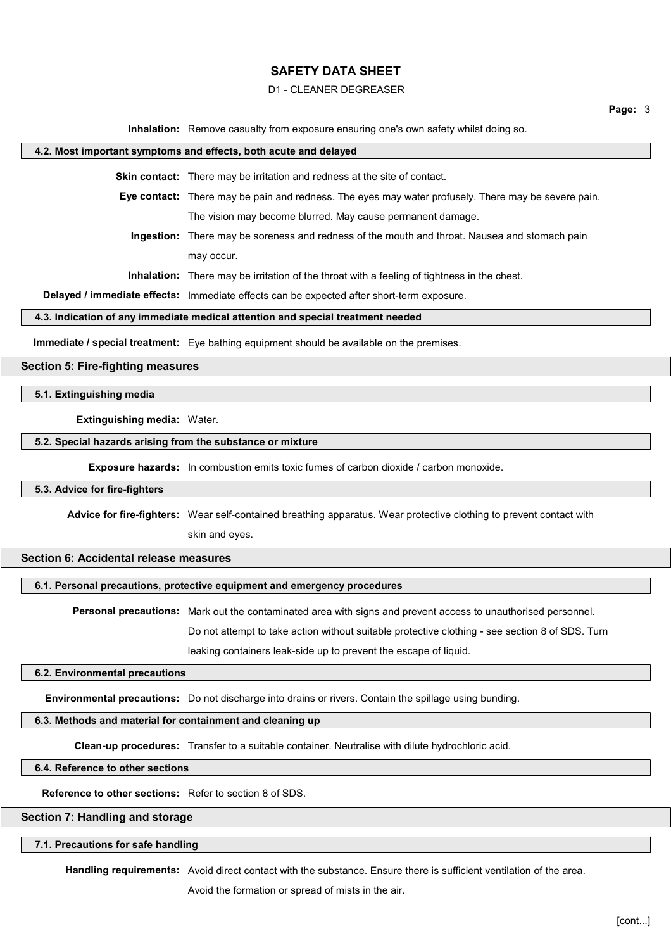#### D1 - CLEANER DEGREASER

**Page:** 3

**Inhalation:** Remove casualty from exposure ensuring one's own safety whilst doing so.

#### **4.2. Most important symptoms and effects, both acute and delayed**

**Skin contact:** There may be irritation and redness at the site of contact.

**Eye contact:** There may be pain and redness. The eyes may water profusely. There may be severe pain. The vision may become blurred. May cause permanent damage.

**Ingestion:** There may be soreness and redness of the mouth and throat. Nausea and stomach pain may occur.

**Inhalation:** There may be irritation of the throat with a feeling of tightness in the chest.

**Delayed / immediate effects:** Immediate effects can be expected after short-term exposure.

#### **4.3. Indication of any immediate medical attention and special treatment needed**

**Immediate / special treatment:** Eye bathing equipment should be available on the premises.

# **Section 5: Fire-fighting measures**

## **5.1. Extinguishing media**

## **Extinguishing media:** Water.

## **5.2. Special hazards arising from the substance or mixture**

**Exposure hazards:** In combustion emits toxic fumes of carbon dioxide / carbon monoxide.

#### **5.3. Advice for fire-fighters**

**Advice for fire-fighters:** Wear self-contained breathing apparatus. Wear protective clothing to prevent contact with

skin and eyes.

## **Section 6: Accidental release measures**

## **6.1. Personal precautions, protective equipment and emergency procedures**

**Personal precautions:** Mark out the contaminated area with signs and prevent access to unauthorised personnel.

Do not attempt to take action without suitable protective clothing - see section 8 of SDS. Turn

leaking containers leak-side up to prevent the escape of liquid.

#### **6.2. Environmental precautions**

**Environmental precautions:** Do not discharge into drains or rivers. Contain the spillage using bunding.

# **6.3. Methods and material for containment and cleaning up**

**Clean-up procedures:** Transfer to a suitable container. Neutralise with dilute hydrochloric acid.

### **6.4. Reference to other sections**

**Reference to other sections:** Refer to section 8 of SDS.

# **Section 7: Handling and storage**

### **7.1. Precautions for safe handling**

**Handling requirements:** Avoid direct contact with the substance. Ensure there is sufficient ventilation of the area.

Avoid the formation or spread of mists in the air.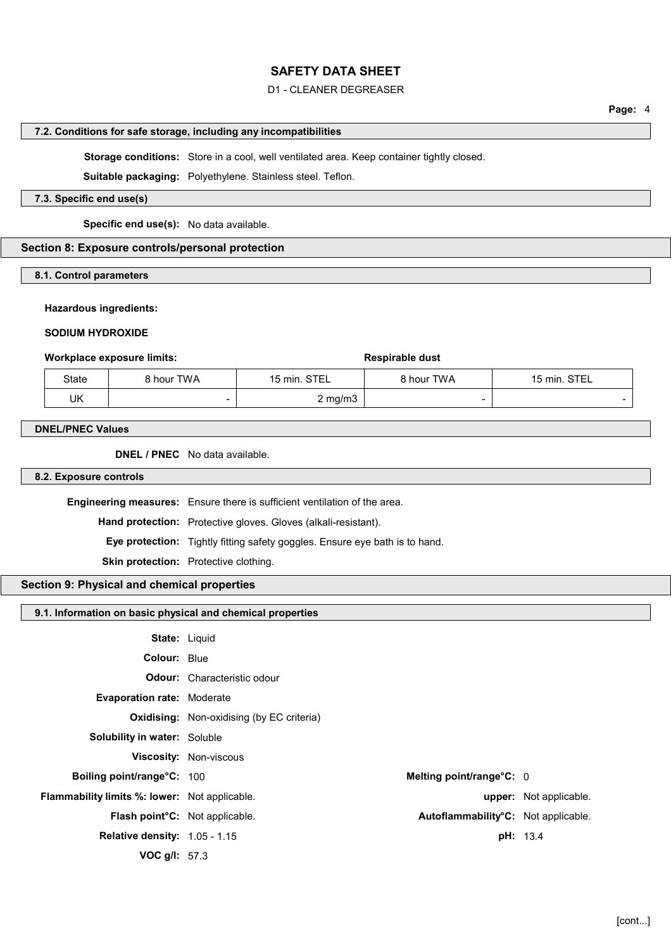## D1 - CLEANER DEGREASER

# **Page:** 4

#### **7.2. Conditions for safe storage, including any incompatibilities**

**Storage conditions:** Store in a cool, well ventilated area. Keep container tightly closed.

**Suitable packaging:** Polyethylene. Stainless steel. Teflon.

## **7.3. Specific end use(s)**

**Specific end use(s):** No data available.

#### **Section 8: Exposure controls/personal protection**

#### **8.1. Control parameters**

#### **Hazardous ingredients:**

#### **SODIUM HYDROXIDE**

#### **Workplace exposure limits: Respirable dust Respirable dust**

| State | 8 hour TWA               | 15 min. STEL | 8 hour TWA               | 15 min. STEL |
|-------|--------------------------|--------------|--------------------------|--------------|
| UK    | $\overline{\phantom{0}}$ | 2 mg/m3 i    | $\overline{\phantom{0}}$ |              |

#### **DNEL/PNEC Values**

**DNEL / PNEC** No data available.

### **8.2. Exposure controls**

**Engineering measures:** Ensure there is sufficient ventilation of the area.

**Hand protection:** Protective gloves. Gloves (alkali-resistant).

**Eye protection:** Tightly fitting safety goggles. Ensure eye bath is to hand.

**Skin protection:** Protective clothing.

#### **Section 9: Physical and chemical properties**

#### **9.1. Information on basic physical and chemical properties**

| <b>State: Liquid</b>                                 |                                                  |                               |
|------------------------------------------------------|--------------------------------------------------|-------------------------------|
| Colour: Blue                                         |                                                  |                               |
|                                                      | <b>Odour:</b> Characteristic odour               |                               |
| <b>Evaporation rate: Moderate</b>                    |                                                  |                               |
|                                                      | <b>Oxidising:</b> Non-oxidising (by EC criteria) |                               |
| <b>Solubility in water: Soluble</b>                  |                                                  |                               |
|                                                      | <b>Viscosity: Non-viscous</b>                    |                               |
| Boiling point/range°C: 100                           | Melting point/range°C: 0                         |                               |
| <b>Flammability limits %: lower:</b> Not applicable. |                                                  | <b>upper:</b> Not applicable. |
| Flash point°C: Not applicable.                       | Autoflammability°C: Not applicable.              |                               |
| <b>Relative density: 1.05 - 1.15</b>                 |                                                  | pH: 13.4                      |
| VOC g/l: 57.3                                        |                                                  |                               |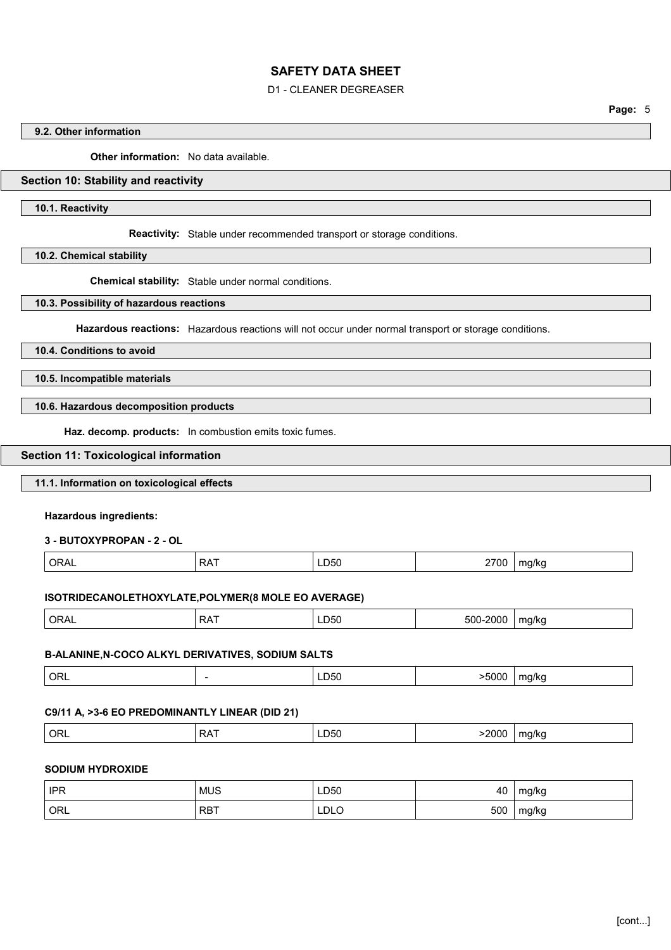## D1 - CLEANER DEGREASER

#### **9.2. Other information**

**Other information:** No data available.

## **Section 10: Stability and reactivity**

**10.1. Reactivity**

**Reactivity:** Stable under recommended transport or storage conditions.

**10.2. Chemical stability**

**Chemical stability:** Stable under normal conditions.

**10.3. Possibility of hazardous reactions**

**Hazardous reactions:** Hazardous reactions will not occur under normal transport or storage conditions.

**10.4. Conditions to avoid**

**10.5. Incompatible materials**

**10.6. Hazardous decomposition products**

**Haz. decomp. products:** In combustion emits toxic fumes.

#### **Section 11: Toxicological information**

#### **11.1. Information on toxicological effects**

**Hazardous ingredients:**

**3 - BUTOXYPROPAN - 2 - OL**

| <b>ORAL</b><br><b>RAT</b> | 2700<br>LD50<br>$\sim$ | ma/ka<br>ີ |
|---------------------------|------------------------|------------|
|---------------------------|------------------------|------------|

## **ISOTRIDECANOLETHOXYLATE,POLYMER(8 MOLE EO AVERAGE)**

| ORAL | <b>DAT</b><br>ĸА<br>. . | __<br>LD50 | -500-<br>$-2000$ | ma/ka |
|------|-------------------------|------------|------------------|-------|
|      |                         |            |                  |       |

#### **B-ALANINE,N-COCO ALKYL DERIVATIVES, SODIUM SALTS**

| ORL<br>>5000<br>ma<br>.a/kc<br>LU50.<br>-<br>$- - -$<br>. |
|-----------------------------------------------------------|
|-----------------------------------------------------------|

### **C9/11 A, >3-6 EO PREDOMINANTLY LINEAR (DID 21)**

| $\frac{1}{2}$<br>∩Б<br>ר ג כ<br>$^{\prime\prime}$<br>∟⊔50<br>$\sim 10^{10}$<br>n.<br>ᄓᄔ<br>.<br>$ -$<br>.<br>.<br>$\sim$ $\sim$ |
|---------------------------------------------------------------------------------------------------------------------------------|
|---------------------------------------------------------------------------------------------------------------------------------|

#### **SODIUM HYDROXIDE**

| <b>IPR</b> | <b>MUS</b> | LD50 | 40  | mg/kg |
|------------|------------|------|-----|-------|
| ORL        | <b>RBT</b> | LDLO | 500 | mg/kg |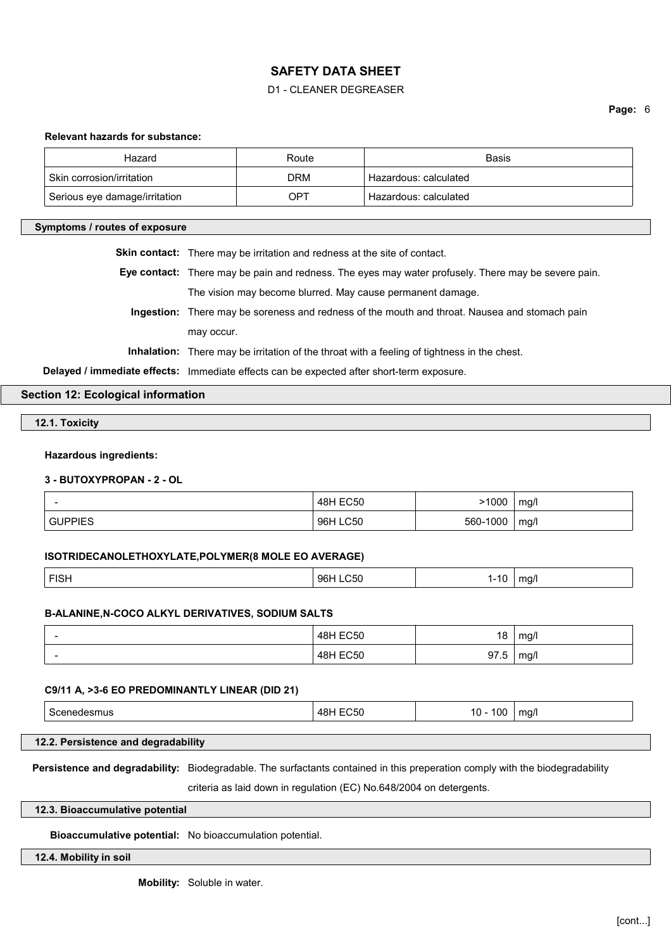## D1 - CLEANER DEGREASER

#### **Page:** 6

#### **Relevant hazards for substance:**

| Hazard                        | Route | <b>Basis</b>            |
|-------------------------------|-------|-------------------------|
| Skin corrosion/irritation     | DRM   | Hazardous: calculated   |
| Serious eye damage/irritation | OPT   | ' Hazardous: calculated |

#### **Symptoms / routes of exposure**

**Skin contact:** There may be irritation and redness at the site of contact.

**Eye contact:** There may be pain and redness. The eyes may water profusely. There may be severe pain. The vision may become blurred. May cause permanent damage.

**Ingestion:** There may be soreness and redness of the mouth and throat. Nausea and stomach pain may occur.

**Inhalation:** There may be irritation of the throat with a feeling of tightness in the chest.

**Delayed / immediate effects:** Immediate effects can be expected after short-term exposure.

## **Section 12: Ecological information**

**12.1. Toxicity**

#### **Hazardous ingredients:**

# **3 - BUTOXYPROPAN - 2 - OL**

|                      | <b>48H EC50</b> | .1000    | ma/      |
|----------------------|-----------------|----------|----------|
| <b>GUPPIES</b><br>__ | 96H LC50        | 560-1000 | mg/<br>~ |

#### **ISOTRIDECANOLETHOXYLATE,POLYMER(8 MOLE EO AVERAGE)**

|  | ∴ت ا⊐ | ୍ରନା<br>ור | . .<br>. . | ma/ |
|--|-------|------------|------------|-----|
|--|-------|------------|------------|-----|

#### **B-ALANINE,N-COCO ALKYL DERIVATIVES, SODIUM SALTS**

| - | 48H EC50 | 18             | ma/      |
|---|----------|----------------|----------|
|   | 48H EC50 | 97 5<br>ن. ا ت | mq/<br>ີ |

#### **C9/11 A, >3-6 EO PREDOMINANTLY LINEAR (DID 21)**

| . | ---<br>4.P<br>והי | 10 <sup>c</sup><br>10 | ma/i |  |
|---|-------------------|-----------------------|------|--|
|---|-------------------|-----------------------|------|--|

## **12.2. Persistence and degradability**

**Persistence and degradability:** Biodegradable. The surfactants contained in this preperation comply with the biodegradability

criteria as laid down in regulation (EC) No.648/2004 on detergents.

#### **12.3. Bioaccumulative potential**

**Bioaccumulative potential:** No bioaccumulation potential.

#### **12.4. Mobility in soil**

**Mobility:** Soluble in water.